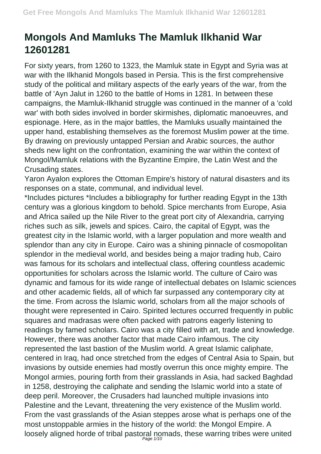## **Mongols And Mamluks The Mamluk Ilkhanid War 12601281**

For sixty years, from 1260 to 1323, the Mamluk state in Egypt and Syria was at war with the Ilkhanid Mongols based in Persia. This is the first comprehensive study of the political and military aspects of the early years of the war, from the battle of 'Ayn Jalut in 1260 to the battle of Homs in 1281. In between these campaigns, the Mamluk-Ilkhanid struggle was continued in the manner of a 'cold war' with both sides involved in border skirmishes, diplomatic manoeuvres, and espionage. Here, as in the major battles, the Mamluks usually maintained the upper hand, establishing themselves as the foremost Muslim power at the time. By drawing on previously untapped Persian and Arabic sources, the author sheds new light on the confrontation, examining the war within the context of Mongol/Mamluk relations with the Byzantine Empire, the Latin West and the Crusading states.

Yaron Ayalon explores the Ottoman Empire's history of natural disasters and its responses on a state, communal, and individual level.

\*Includes pictures \*Includes a bibliography for further reading Egypt in the 13th century was a glorious kingdom to behold. Spice merchants from Europe, Asia and Africa sailed up the Nile River to the great port city of Alexandria, carrying riches such as silk, jewels and spices. Cairo, the capital of Egypt, was the greatest city in the Islamic world, with a larger population and more wealth and splendor than any city in Europe. Cairo was a shining pinnacle of cosmopolitan splendor in the medieval world, and besides being a major trading hub, Cairo was famous for its scholars and intellectual class, offering countless academic opportunities for scholars across the Islamic world. The culture of Cairo was dynamic and famous for its wide range of intellectual debates on Islamic sciences and other academic fields, all of which far surpassed any contemporary city at the time. From across the Islamic world, scholars from all the major schools of thought were represented in Cairo. Spirited lectures occurred frequently in public squares and madrasas were often packed with patrons eagerly listening to readings by famed scholars. Cairo was a city filled with art, trade and knowledge. However, there was another factor that made Cairo infamous. The city represented the last bastion of the Muslim world. A great Islamic caliphate, centered in Iraq, had once stretched from the edges of Central Asia to Spain, but invasions by outside enemies had mostly overrun this once mighty empire. The Mongol armies, pouring forth from their grasslands in Asia, had sacked Baghdad in 1258, destroying the caliphate and sending the Islamic world into a state of deep peril. Moreover, the Crusaders had launched multiple invasions into Palestine and the Levant, threatening the very existence of the Muslim world. From the vast grasslands of the Asian steppes arose what is perhaps one of the most unstoppable armies in the history of the world: the Mongol Empire. A loosely aligned horde of tribal pastoral nomads, these warring tribes were united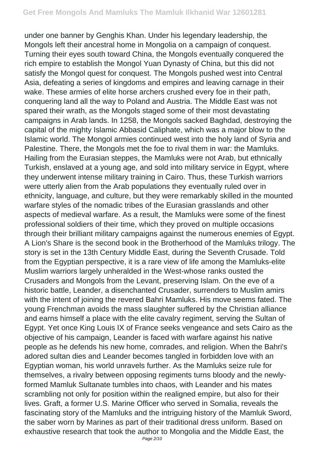under one banner by Genghis Khan. Under his legendary leadership, the Mongols left their ancestral home in Mongolia on a campaign of conquest. Turning their eyes south toward China, the Mongols eventually conquered the rich empire to establish the Mongol Yuan Dynasty of China, but this did not satisfy the Mongol quest for conquest. The Mongols pushed west into Central Asia, defeating a series of kingdoms and empires and leaving carnage in their wake. These armies of elite horse archers crushed every foe in their path, conquering land all the way to Poland and Austria. The Middle East was not spared their wrath, as the Mongols staged some of their most devastating campaigns in Arab lands. In 1258, the Mongols sacked Baghdad, destroying the capital of the mighty Islamic Abbasid Caliphate, which was a major blow to the Islamic world. The Mongol armies continued west into the holy land of Syria and Palestine. There, the Mongols met the foe to rival them in war: the Mamluks. Hailing from the Eurasian steppes, the Mamluks were not Arab, but ethnically Turkish, enslaved at a young age, and sold into military service in Egypt, where they underwent intense military training in Cairo. Thus, these Turkish warriors were utterly alien from the Arab populations they eventually ruled over in ethnicity, language, and culture, but they were remarkably skilled in the mounted warfare styles of the nomadic tribes of the Eurasian grasslands and other aspects of medieval warfare. As a result, the Mamluks were some of the finest professional soldiers of their time, which they proved on multiple occasions through their brilliant military campaigns against the numerous enemies of Egypt. A Lion's Share is the second book in the Brotherhood of the Mamluks trilogy. The story is set in the 13th Century Middle East, during the Seventh Crusade. Told from the Egyptian perspective, it is a rare view of life among the Mamluks-elite Muslim warriors largely unheralded in the West-whose ranks ousted the Crusaders and Mongols from the Levant, preserving Islam. On the eve of a historic battle, Leander, a disenchanted Crusader, surrenders to Muslim amirs with the intent of joining the revered Bahri Mamluks. His move seems fated. The young Frenchman avoids the mass slaughter suffered by the Christian alliance and earns himself a place with the elite cavalry regiment, serving the Sultan of Egypt. Yet once King Louis IX of France seeks vengeance and sets Cairo as the objective of his campaign, Leander is faced with warfare against his native people as he defends his new home, comrades, and religion. When the Bahri's adored sultan dies and Leander becomes tangled in forbidden love with an Egyptian woman, his world unravels further. As the Mamluks seize rule for themselves, a rivalry between opposing regiments turns bloody and the newlyformed Mamluk Sultanate tumbles into chaos, with Leander and his mates scrambling not only for position within the realigned empire, but also for their lives. Graft, a former U.S. Marine Officer who served in Somalia, reveals the fascinating story of the Mamluks and the intriguing history of the Mamluk Sword, the saber worn by Marines as part of their traditional dress uniform. Based on exhaustive research that took the author to Mongolia and the Middle East, the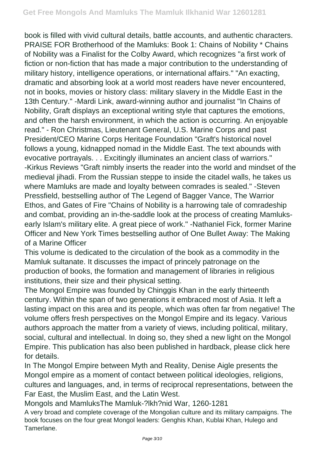book is filled with vivid cultural details, battle accounts, and authentic characters. PRAISE FOR Brotherhood of the Mamluks: Book 1: Chains of Nobility \* Chains of Nobility was a Finalist for the Colby Award, which recognizes "a first work of fiction or non-fiction that has made a major contribution to the understanding of military history, intelligence operations, or international affairs." "An exacting, dramatic and absorbing look at a world most readers have never encountered, not in books, movies or history class: military slavery in the Middle East in the 13th Century." -Mardi Link, award-winning author and journalist "In Chains of Nobility, Graft displays an exceptional writing style that captures the emotions, and often the harsh environment, in which the action is occurring. An enjoyable read." - Ron Christmas, Lieutenant General, U.S. Marine Corps and past President/CEO Marine Corps Heritage Foundation "Graft's historical novel follows a young, kidnapped nomad in the Middle East. The text abounds with evocative portrayals. . . Excitingly illuminates an ancient class of warriors." -Kirkus Reviews "Graft nimbly inserts the reader into the world and mindset of the medieval jihadi. From the Russian steppe to inside the citadel walls, he takes us where Mamluks are made and loyalty between comrades is sealed." -Steven Pressfield, bestselling author of The Legend of Bagger Vance, The Warrior Ethos, and Gates of Fire "Chains of Nobility is a harrowing tale of comradeship and combat, providing an in-the-saddle look at the process of creating Mamluksearly Islam's military elite. A great piece of work." -Nathaniel Fick, former Marine Officer and New York Times bestselling author of One Bullet Away: The Making of a Marine Officer

This volume is dedicated to the circulation of the book as a commodity in the Mamluk sultanate. It discusses the impact of princely patronage on the production of books, the formation and management of libraries in religious institutions, their size and their physical setting.

The Mongol Empire was founded by Chinggis Khan in the early thirteenth century. Within the span of two generations it embraced most of Asia. It left a lasting impact on this area and its people, which was often far from negative! The volume offers fresh perspectives on the Mongol Empire and its legacy. Various authors approach the matter from a variety of views, including political, military, social, cultural and intellectual. In doing so, they shed a new light on the Mongol Empire. This publication has also been published in hardback, please click here for details.

In The Mongol Empire between Myth and Reality, Denise Aigle presents the Mongol empire as a moment of contact between political ideologies, religions, cultures and languages, and, in terms of reciprocal representations, between the Far East, the Muslim East, and the Latin West.

Mongols and MamluksThe Mamluk-?lkh?nid War, 1260-1281

A very broad and complete coverage of the Mongolian culture and its military campaigns. The book focuses on the four great Mongol leaders: Genghis Khan, Kublai Khan, Hulego and Tamerlane.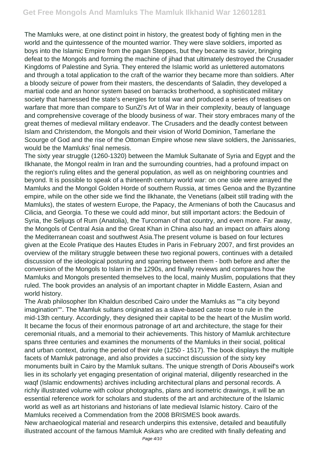The Mamluks were, at one distinct point in history, the greatest body of fighting men in the world and the quintessence of the mounted warrior. They were slave soldiers, imported as boys into the Islamic Empire from the pagan Steppes, but they became its savior, bringing defeat to the Mongols and forming the machine of jihad that ultimately destroyed the Crusader Kingdoms of Palestine and Syria. They entered the Islamic world as unlettered automatons and through a total application to the craft of the warrior they became more than soldiers. After a bloody seizure of power from their masters, the descendants of Saladin, they developed a martial code and an honor system based on barracks brotherhood, a sophisticated military society that harnessed the state's energies for total war and produced a series of treatises on warfare that more than compare to SunZi's Art of War in their complexity, beauty of language and comprehensive coverage of the bloody business of war. Their story embraces many of the great themes of medieval military endeavor. The Crusaders and the deadly contest between Islam and Christendom, the Mongols and their vision of World Dominion, Tamerlane the Scourge of God and the rise of the Ottoman Empire whose new slave soldiers, the Janissaries, would be the Mamluks' final nemesis.

The sixty year struggle (1260-1320) between the Mamluk Sultanate of Syria and Egypt and the Ilkhanate, the Mongol realm in Iran and the surrounding countries, had a profound impact on the region's ruling elites and the general population, as well as on neighboring countries and beyond. It is possible to speak of a thirteenth century world war: on one side were arrayed the Mamluks and the Mongol Golden Horde of southern Russia, at times Genoa and the Byzantine empire, while on the other side we find the Ilkhanate, the Venetians (albeit still trading with the Mamluks), the states of western Europe, the Papacy, the Armenians of both the Caucasus and Cilicia, and Georgia. To these we could add minor, but still important actors: the Bedouin of Syria, the Seljuqs of Rum (Anatolia), the Turcoman of that country, and even more. Far away, the Mongols of Central Asia and the Great Khan in China also had an impact on affairs along the Mediterranean coast and southwest Asia.The present volume is based on four lectures given at the Ecole Pratique des Hautes Etudes in Paris in February 2007, and first provides an overview of the military struggle between these two regional powers, continues with a detailed discussion of the ideological posturing and sparring between them - both before and after the conversion of the Mongols to Islam in the 1290s, and finally reviews and compares how the Mamluks and Mongols presented themselves to the local, mainly Muslim, populations that they ruled. The book provides an analysis of an important chapter in Middle Eastern, Asian and world history.

The Arab philosopher Ibn Khaldun described Cairo under the Mamluks as ""a city beyond imagination"". The Mamluk sultans originated as a slave-based caste rose to rule in the mid-13th century. Accordingly, they designed their capital to be the heart of the Muslim world. It became the focus of their enormous patronage of art and architecture, the stage for their ceremonial rituals, and a memorial to their achievements. This history of Mamluk architecture spans three centuries and examines the monuments of the Mamluks in their social, political and urban context, during the period of their rule (1250 - 1517). The book displays the multiple facets of Mamluk patronage, and also provides a succinct discussion of the sixty key monuments built in Cairo by the Mamluk sultans. The unique strength of Doris Abouseif's work lies in its scholarly yet engaging presentation of original material, diligently researched in the waqf (Islamic endowments) archives including architectural plans and personal records. A richly illustrated volume with colour photographs, plans and isometric drawings, it will be an essential reference work for scholars and students of the art and architecture of the Islamic world as well as art historians and historians of late medieval Islamic history. Cairo of the Mamluks received a Commendation from the 2008 BRISMES book awards.

New archaeological material and research underpins this extensive, detailed and beautifully illustrated account of the famous Mamluk Askars who are credited with finally defeating and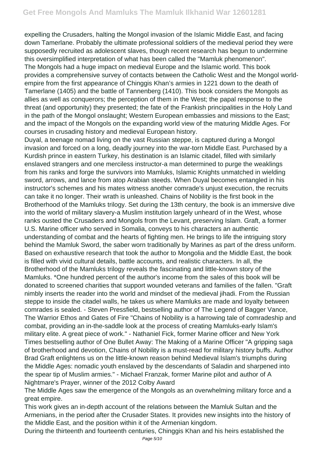expelling the Crusaders, halting the Mongol invasion of the Islamic Middle East, and facing down Tamerlane. Probably the ultimate professional soldiers of the medieval period they were supposedly recruited as adolescent slaves, though recent research has begun to undermine this oversimplified interpretation of what has been called the "Mamluk phenomenon". The Mongols had a huge impact on medieval Europe and the Islamic world. This book provides a comprehensive survey of contacts between the Catholic West and the Mongol worldempire from the first appearance of Chinggis Khan's armies in 1221 down to the death of Tamerlane (1405) and the battle of Tannenberg (1410). This book considers the Mongols as allies as well as conquerors; the perception of them in the West; the papal response to the threat (and opportunity) they presented; the fate of the Frankish principalities in the Holy Land in the path of the Mongol onslaught; Western European embassies and missions to the East; and the impact of the Mongols on the expanding world view of the maturing Middle Ages. For courses in crusading history and medieval European history.

Duyal, a teenage nomad living on the vast Russian steppe, is captured during a Mongol invasion and forced on a long, deadly journey into the war-torn Middle East. Purchased by a Kurdish prince in eastern Turkey, his destination is an Islamic citadel, filled with similarly enslaved strangers and one merciless instructor-a man determined to purge the weaklings from his ranks and forge the survivors into Mamluks, Islamic Knights unmatched in wielding sword, arrows, and lance from atop Arabian steeds. When Duyal becomes entangled in his instructor's schemes and his mates witness another comrade's unjust execution, the recruits can take it no longer. Their wrath is unleashed. Chains of Nobility is the first book in the Brotherhood of the Mamluks trilogy. Set during the 13th century, the book is an immersive dive into the world of military slavery-a Muslim institution largely unheard of in the West, whose ranks ousted the Crusaders and Mongols from the Levant, preserving Islam. Graft, a former U.S. Marine officer who served in Somalia, conveys to his characters an authentic understanding of combat and the hearts of fighting men. He brings to life the intriguing story behind the Mamluk Sword, the saber worn traditionally by Marines as part of the dress uniform. Based on exhaustive research that took the author to Mongolia and the Middle East, the book is filled with vivid cultural details, battle accounts, and realistic characters. In all, the Brotherhood of the Mamluks trilogy reveals the fascinating and little-known story of the Mamluks. \*One hundred percent of the author's income from the sales of this book will be donated to screened charities that support wounded veterans and families of the fallen. "Graft nimbly inserts the reader into the world and mindset of the medieval jihadi. From the Russian steppe to inside the citadel walls, he takes us where Mamluks are made and loyalty between comrades is sealed. - Steven Pressfield, bestselling author of The Legend of Bagger Vance, The Warrior Ethos and Gates of Fire "Chains of Nobility is a harrowing tale of comradeship and combat, providing an in-the-saddle look at the process of creating Mamluks-early Islam's military elite. A great piece of work." - Nathaniel Fick, former Marine officer and New York Times bestselling author of One Bullet Away: The Making of a Marine Officer "A gripping saga of brotherhood and devotion, Chains of Nobility is a must-read for military history buffs. Author Brad Graft enlightens us on the little-known reason behind Medieval Islam's triumphs during the Middle Ages: nomadic youth enslaved by the descendants of Saladin and sharpened into the spear tip of Muslim armies." - Michael Franzak, former Marine pilot and author of A Nightmare's Prayer, winner of the 2012 Colby Award

The Middle Ages saw the emergence of the Mongols as an overwhelming military force and a great empire.

This work gives an in-depth account of the relations between the Mamluk Sultan and the Armenians, in the period after the Crusader States. It provides new insights into the history of the Middle East, and the position within it of the Armenian kingdom.

During the thirteenth and fourteenth centuries, Chinggis Khan and his heirs established the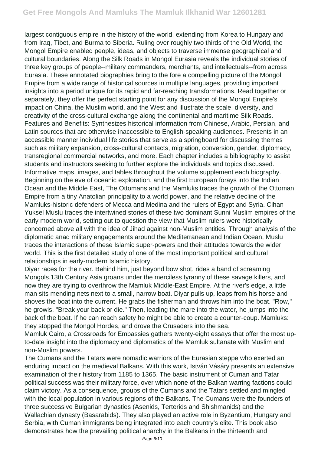largest contiguous empire in the history of the world, extending from Korea to Hungary and from Iraq, Tibet, and Burma to Siberia. Ruling over roughly two thirds of the Old World, the Mongol Empire enabled people, ideas, and objects to traverse immense geographical and cultural boundaries. Along the Silk Roads in Mongol Eurasia reveals the individual stories of three key groups of people--military commanders, merchants, and intellectuals--from across Eurasia. These annotated biographies bring to the fore a compelling picture of the Mongol Empire from a wide range of historical sources in multiple languages, providing important insights into a period unique for its rapid and far-reaching transformations. Read together or separately, they offer the perfect starting point for any discussion of the Mongol Empire's impact on China, the Muslim world, and the West and illustrate the scale, diversity, and creativity of the cross-cultural exchange along the continental and maritime Silk Roads. Features and Benefits: Synthesizes historical information from Chinese, Arabic, Persian, and Latin sources that are otherwise inaccessible to English-speaking audiences. Presents in an accessible manner individual life stories that serve as a springboard for discussing themes such as military expansion, cross-cultural contacts, migration, conversion, gender, diplomacy, transregional commercial networks, and more. Each chapter includes a bibliography to assist students and instructors seeking to further explore the individuals and topics discussed. Informative maps, images, and tables throughout the volume supplement each biography. Beginning on the eve of oceanic exploration, and the first European forays into the Indian Ocean and the Middle East, The Ottomans and the Mamluks traces the growth of the Ottoman Empire from a tiny Anatolian principality to a world power, and the relative decline of the Mamluks-historic defenders of Mecca and Medina and the rulers of Egypt and Syria. Cihan Yuksel Muslu traces the intertwined stories of these two dominant Sunni Muslim empires of the early modern world, setting out to question the view that Muslim rulers were historically concerned above all with the idea of Jihad against non-Muslim entities. Through analysis of the diplomatic anad military engagements around the Mediterranean and Indian Ocean, Muslu traces the interactions of these Islamic super-powers and their attitudes towards the wider world. This is the first detailed study of one of the most important political and cultural relationships in early-modern Islamic history.

Diyar races for the river. Behind him, just beyond bow shot, rides a band of screaming Mongols.13th Century Asia groans under the merciless tyranny of these savage killers, and now they are trying to overthrow the Mamluk Middle-East Empire. At the river's edge, a little man sits mending nets next to a small, narrow boat. Diyar pulls up, leaps from his horse and shoves the boat into the current. He grabs the fisherman and throws him into the boat. "Row," he growls. "Break your back or die." Then, leading the mare into the water, he jumps into the back of the boat. If he can reach safety he might be able to create a counter-coup. Mamluks: they stopped the Mongol Hordes, and drove the Crusaders into the sea.

Mamluk Cairo, a Crossroads for Embassies gathers twenty-eight essays that offer the most upto-date insight into the diplomacy and diplomatics of the Mamluk sultanate with Muslim and non-Muslim powers.

The Cumans and the Tatars were nomadic warriors of the Eurasian steppe who exerted an enduring impact on the medieval Balkans. With this work, István Vásáry presents an extensive examination of their history from 1185 to 1365. The basic instrument of Cuman and Tatar political success was their military force, over which none of the Balkan warring factions could claim victory. As a consequence, groups of the Cumans and the Tatars settled and mingled with the local population in various regions of the Balkans. The Cumans were the founders of three successive Bulgarian dynasties (Asenids, Terterids and Shishmanids) and the Wallachian dynasty (Basarabids). They also played an active role in Byzantium, Hungary and Serbia, with Cuman immigrants being integrated into each country's elite. This book also demonstrates how the prevailing political anarchy in the Balkans in the thirteenth and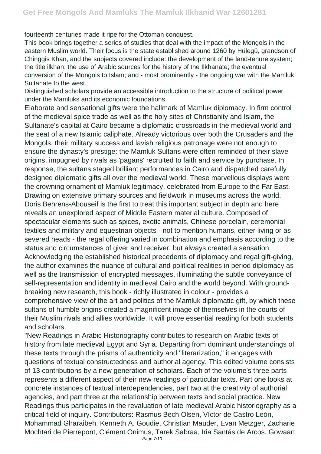fourteenth centuries made it ripe for the Ottoman conquest.

This book brings together a series of studies that deal with the impact of the Mongols in the eastern Muslim world. Their focus is the state established around 1260 by Hülegü, grandson of Chinggis Khan, and the subjects covered include: the development of the land-tenure system; the title ilkhan; the use of Arabic sources for the history of the Ilkhanate; the eventual conversion of the Mongols to Islam; and - most prominently - the ongoing war with the Mamluk Sultanate to the west.

Distinguished scholars provide an accessible introduction to the structure of political power under the Mamluks and its economic foundations.

Elaborate and sensational gifts were the hallmark of Mamluk diplomacy. In firm control of the medieval spice trade as well as the holy sites of Christianity and Islam, the Sultanate's capital at Cairo became a diplomatic crossroads in the medieval world and the seat of a new Islamic caliphate. Already victorious over both the Crusaders and the Mongols, their military success and lavish religious patronage were not enough to ensure the dynasty's prestige: the Mamluk Sultans were often reminded of their slave origins, impugned by rivals as 'pagans' recruited to faith and service by purchase. In response, the sultans staged brilliant performances in Cairo and dispatched carefully designed diplomatic gifts all over the medieval world. These marvellous displays were the crowning ornament of Mamluk legitimacy, celebrated from Europe to the Far East. Drawing on extensive primary sources and fieldwork in museums across the world, Doris Behrens-Abouseif is the first to treat this important subject in depth and here reveals an unexplored aspect of Middle Eastern material culture. Composed of spectacular elements such as spices, exotic animals, Chinese porcelain, ceremonial textiles and military and equestrian objects - not to mention humans, either living or as severed heads - the regal offering varied in combination and emphasis according to the status and circumstances of giver and receiver, but always created a sensation. Acknowledging the established historical precedents of diplomacy and regal gift-giving, the author examines the nuance of cultural and political realities in period diplomacy as well as the transmission of encrypted messages, illuminating the subtle conveyance of self-representation and identity in medieval Cairo and the world beyond. With groundbreaking new research, this book - richly illustrated in colour - provides a comprehensive view of the art and politics of the Mamluk diplomatic gift, by which these sultans of humble origins created a magnificent image of themselves in the courts of their Muslim rivals and allies worldwide. It will prove essential reading for both students and scholars.

"New Readings in Arabic Historiography contributes to research on Arabic texts of history from late medieval Egypt and Syria. Departing from dominant understandings of these texts through the prisms of authenticity and "literarization," it engages with questions of textual constructedness and authorial agency. This edited volume consists of 13 contributions by a new generation of scholars. Each of the volume's three parts represents a different aspect of their new readings of particular texts. Part one looks at concrete instances of textual interdependencies, part two at the creativity of authorial agencies, and part three at the relationship between texts and social practice. New Readings thus participates in the revaluation of late medieval Arabic historiography as a critical field of inquiry. Contributors: Rasmus Bech Olsen, Víctor de Castro León, Mohammad Gharaibeh, Kenneth A. Goudie, Christian Mauder, Evan Metzger, Zacharie Mochtari de Pierrepont, Clément Onimus, Tarek Sabraa, Iria Santás de Arcos, Gowaart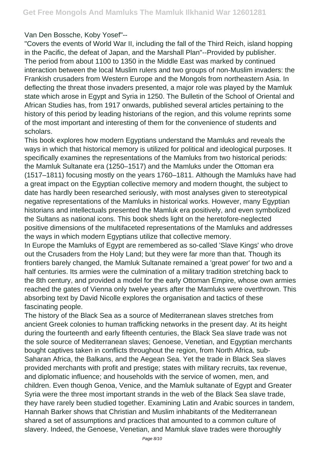Van Den Bossche, Koby Yosef"--

"Covers the events of World War II, including the fall of the Third Reich, island hopping in the Pacific, the defeat of Japan, and the Marshall Plan"--Provided by publisher. The period from about 1100 to 1350 in the Middle East was marked by continued interaction between the local Muslim rulers and two groups of non-Muslim invaders: the Frankish crusaders from Western Europe and the Mongols from northeastern Asia. In deflecting the threat those invaders presented, a major role was played by the Mamluk state which arose in Egypt and Syria in 1250. The Bulletin of the School of Oriental and African Studies has, from 1917 onwards, published several articles pertaining to the history of this period by leading historians of the region, and this volume reprints some of the most important and interesting of them for the convenience of students and scholars.

This book explores how modern Egyptians understand the Mamluks and reveals the ways in which that historical memory is utilized for political and ideological purposes. It specifically examines the representations of the Mamluks from two historical periods: the Mamluk Sultanate era (1250–1517) and the Mamluks under the Ottoman era (1517–1811) focusing mostly on the years 1760–1811. Although the Mamluks have had a great impact on the Egyptian collective memory and modern thought, the subject to date has hardly been researched seriously, with most analyses given to stereotypical negative representations of the Mamluks in historical works. However, many Egyptian historians and intellectuals presented the Mamluk era positively, and even symbolized the Sultans as national icons. This book sheds light on the heretofore-neglected positive dimensions of the multifaceted representations of the Mamluks and addresses the ways in which modern Egyptians utilize that collective memory.

In Europe the Mamluks of Egypt are remembered as so-called 'Slave Kings' who drove out the Crusaders from the Holy Land; but they were far more than that. Though its frontiers barely changed, the Mamluk Sultanate remained a 'great power' for two and a half centuries. Its armies were the culmination of a military tradition stretching back to the 8th century, and provided a model for the early Ottoman Empire, whose own armies reached the gates of Vienna only twelve years after the Mamluks were overthrown. This absorbing text by David Nicolle explores the organisation and tactics of these fascinating people.

The history of the Black Sea as a source of Mediterranean slaves stretches from ancient Greek colonies to human trafficking networks in the present day. At its height during the fourteenth and early fifteenth centuries, the Black Sea slave trade was not the sole source of Mediterranean slaves; Genoese, Venetian, and Egyptian merchants bought captives taken in conflicts throughout the region, from North Africa, sub-Saharan Africa, the Balkans, and the Aegean Sea. Yet the trade in Black Sea slaves provided merchants with profit and prestige; states with military recruits, tax revenue, and diplomatic influence; and households with the service of women, men, and children. Even though Genoa, Venice, and the Mamluk sultanate of Egypt and Greater Syria were the three most important strands in the web of the Black Sea slave trade, they have rarely been studied together. Examining Latin and Arabic sources in tandem, Hannah Barker shows that Christian and Muslim inhabitants of the Mediterranean shared a set of assumptions and practices that amounted to a common culture of slavery. Indeed, the Genoese, Venetian, and Mamluk slave trades were thoroughly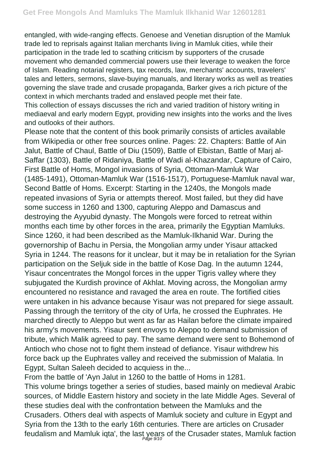entangled, with wide-ranging effects. Genoese and Venetian disruption of the Mamluk trade led to reprisals against Italian merchants living in Mamluk cities, while their participation in the trade led to scathing criticism by supporters of the crusade movement who demanded commercial powers use their leverage to weaken the force of Islam. Reading notarial registers, tax records, law, merchants' accounts, travelers' tales and letters, sermons, slave-buying manuals, and literary works as well as treaties governing the slave trade and crusade propaganda, Barker gives a rich picture of the context in which merchants traded and enslaved people met their fate.

This collection of essays discusses the rich and varied tradition of history writing in mediaeval and early modern Egypt, providing new insights into the works and the lives and outlooks of their authors.

Please note that the content of this book primarily consists of articles available from Wikipedia or other free sources online. Pages: 22. Chapters: Battle of Ain Jalut, Battle of Chaul, Battle of Diu (1509), Battle of Elbistan, Battle of Marj al-Saffar (1303), Battle of Ridaniya, Battle of Wadi al-Khazandar, Capture of Cairo, First Battle of Homs, Mongol invasions of Syria, Ottoman-Mamluk War (1485-1491), Ottoman-Mamluk War (1516-1517), Portuguese-Mamluk naval war, Second Battle of Homs. Excerpt: Starting in the 1240s, the Mongols made repeated invasions of Syria or attempts thereof. Most failed, but they did have some success in 1260 and 1300, capturing Aleppo and Damascus and destroying the Ayyubid dynasty. The Mongols were forced to retreat within months each time by other forces in the area, primarily the Egyptian Mamluks. Since 1260, it had been described as the Mamluk-Ilkhanid War. During the governorship of Bachu in Persia, the Mongolian army under Yisaur attacked Syria in 1244. The reasons for it unclear, but it may be in retaliation for the Syrian participation on the Seljuk side in the battle of Kose Dag. In the autumn 1244, Yisaur concentrates the Mongol forces in the upper Tigris valley where they subjugated the Kurdish province of Akhlat. Moving across, the Mongolian army encountered no resistance and ravaged the area en route. The fortified cities were untaken in his advance because Yisaur was not prepared for siege assault. Passing through the territory of the city of Urfa, he crossed the Euphrates. He marched directly to Aleppo but went as far as Hailan before the climate impaired his army's movements. Yisaur sent envoys to Aleppo to demand submission of tribute, which Malik agreed to pay. The same demand were sent to Bohemond of Antioch who chose not to fight them instead of defiance. Yisaur withdrew his force back up the Euphrates valley and received the submission of Malatia. In Egypt, Sultan Saleeh decided to acquiess in the...

From the battle of 'Ayn Jalut in 1260 to the battle of Homs in 1281. This volume brings together a series of studies, based mainly on medieval Arabic sources, of Middle Eastern history and society in the late Middle Ages. Several of these studies deal with the confrontation between the Mamluks and the Crusaders. Others deal with aspects of Mamluk society and culture in Egypt and Syria from the 13th to the early 16th centuries. There are articles on Crusader feudalism and Mamluk iqta', the last years of the Crusader states, Mamluk faction